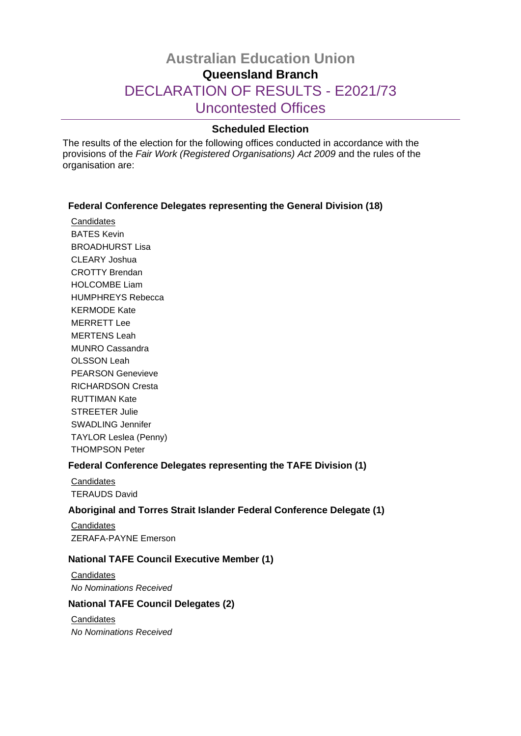# **Australian Education Union Queensland Branch** DECLARATION OF RESULTS - E2021/73 Uncontested Offices

## **Scheduled Election**

The results of the election for the following offices conducted in accordance with the provisions of the *Fair Work (Registered Organisations) Act 2009* and the rules of the organisation are:

### **Federal Conference Delegates representing the General Division (18)**

**Candidates** BATES Kevin BROADHURST Lisa CLEARY Joshua CROTTY Brendan HOLCOMBE Liam HUMPHREYS Rebecca KERMODE Kate MERRETT Lee MERTENS Leah MUNRO Cassandra OLSSON Leah PEARSON Genevieve RICHARDSON Cresta RUTTIMAN Kate STREETER Julie SWADLING Jennifer TAYLOR Leslea (Penny) THOMPSON Peter

## **Federal Conference Delegates representing the TAFE Division (1)**

**Candidates** TERAUDS David

### **Aboriginal and Torres Strait Islander Federal Conference Delegate (1)**

**Candidates** ZERAFA-PAYNE Emerson

### **National TAFE Council Executive Member (1)**

**Candidates** *No Nominations Received*

### **National TAFE Council Delegates (2)**

**Candidates** *No Nominations Received*